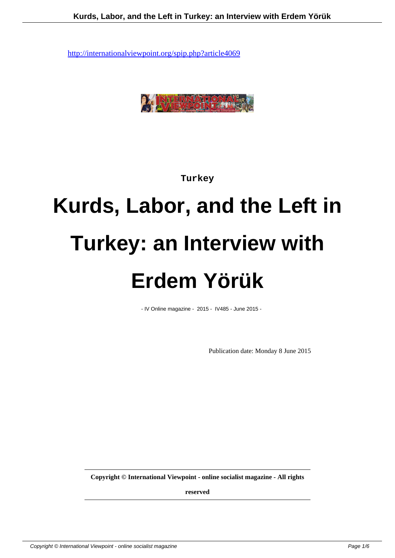

**Turkey**

# **Kurds, Labor, and the Left in Turkey: an Interview with Erdem Yörük**

- IV Online magazine - 2015 - IV485 - June 2015 -

Publication date: Monday 8 June 2015

**Copyright © International Viewpoint - online socialist magazine - All rights**

**reserved**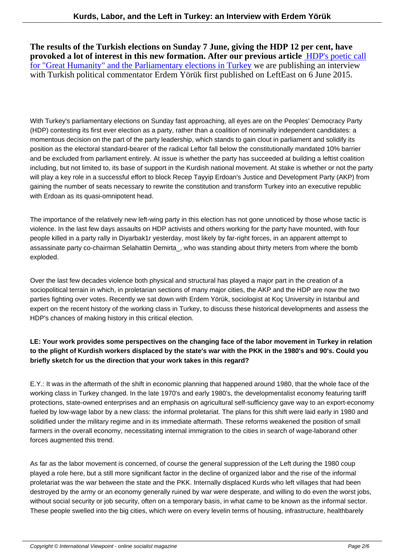**The results of the Turkish elections on Sunday 7 June, giving the HDP 12 per cent, have provoked a lot of interest in this new formation. After our previous article** HDP's poetic call for "Great Humanity" and the Parliamentary elections in Turkey we are publishing an interview with Turkish political commentator Erdem Yörük first published on LeftEast on 6 June 2015.

With Turkey's parliamentary elections on Sunday fast approaching, all eyes are on the Peoples' Democracy Party (HDP) contesting its first ever election as a party, rather than a coalition of nominally independent candidates: a momentous decision on the part of the party leadership, which stands to gain clout in parliament and solidify its position as the electoral standard-bearer of the radical Left or fall below the constitutionally mandated 10% barrier and be excluded from parliament entirely. At issue is whether the party has succeeded at building a leftist coalition including, but not limited to, its base of support in the Kurdish national movement. At stake is whether or not the party will play a key role in a successful effort to block Recep Tayyip Erdo an's Justice and Development Party (AKP) from gaining the number of seats necessary to rewrite the constitution and transform Turkey into an executive republic with Erdo an as its quasi-omnipotent head.

The importance of the relatively new left-wing party in this election has not gone unnoticed by those whose tactic is violence. In the last few days assaults on HDP activists and others working for the party have mounted, with four people killed in a party rally in Diyarbak1r yesterday, most likely by far-right forces, in an apparent attempt to assassinate party co-chairman Selahattin Demirta\_, who was standing about thirty meters from where the bomb exploded.

Over the last few decades violence both physical and structural has played a major part in the creation of a sociopolitical terrain in which, in proletarian sections of many major cities, the AKP and the HDP are now the two parties fighting over votes. Recently we sat down with Erdem Yörük, sociologist at Koç University in Istanbul and expert on the recent history of the working class in Turkey, to discuss these historical developments and assess the HDP's chances of making history in this critical election.

# **LE: Your work provides some perspectives on the changing face of the labor movement in Turkey in relation to the plight of Kurdish workers displaced by the state's war with the PKK in the 1980's and 90's. Could you briefly sketch for us the direction that your work takes in this regard?**

E.Y.: It was in the aftermath of the shift in economic planning that happened around 1980, that the whole face of the working class in Turkey changed. In the late 1970's and early 1980's, the developmentalist economy featuring tariff protections, state-owned enterprises and an emphasis on agricultural self-sufficiency gave way to an export-economy fueled by low-wage labor by a new class: the informal proletariat. The plans for this shift were laid early in 1980 and solidified under the military regime and in its immediate aftermath. These reforms weakened the position of small farmers in the overall economy, necessitating internal immigration to the cities in search of wage-labor and other forces augmented this trend.

As far as the labor movement is concerned, of course the general suppression of the Left during the 1980 coup played a role here, but a still more significant factor in the decline of organized labor and the rise of the informal proletariat was the war between the state and the PKK. Internally displaced Kurds who left villages that had been destroyed by the army or an economy generally ruined by war were desperate, and willing to do even the worst jobs, without social security or job security, often on a temporary basis, in what came to be known as the informal sector. These people swelled into the big cities, which were on every level in terms of housing, infrastructure, health barely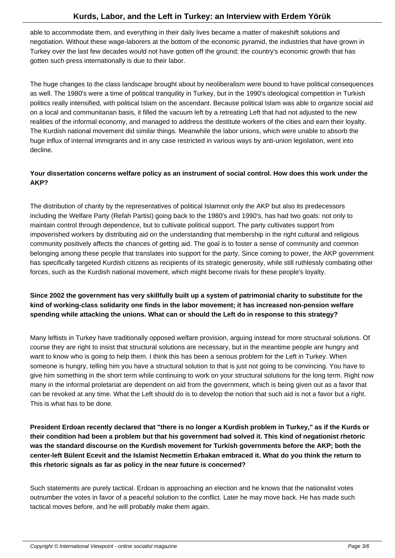able to accommodate them, and everything in their daily lives became a matter of makeshift solutions and negotiation. Without these wage-laborers at the bottom of the economic pyramid, the industries that have grown in Turkey over the last few decades would not have gotten off the ground; the country's economic growth that has gotten such press internationally is due to their labor.

The huge changes to the class landscape brought about by neoliberalism were bound to have political consequences as well. The 1980's were a time of political tranquility in Turkey, but in the 1990's ideological competition in Turkish politics really intensified, with political Islam on the ascendant. Because political Islam was able to organize social aid on a local and communitarian basis, it filled the vacuum left by a retreating Left that had not adjusted to the new realities of the informal economy, and managed to address the destitute workers of the cities and earn their loyalty. The Kurdish national movement did similar things. Meanwhile the labor unions, which were unable to absorb the huge influx of internal immigrants and in any case restricted in various ways by anti-union legislation, went into decline.

#### **Your dissertation concerns welfare policy as an instrument of social control. How does this work under the AKP?**

The distribution of charity by the representatives of political Islam not only the AKP but also its predecessors including the Welfare Party (Refah Partisi) going back to the 1980's and 1990's, has had two goals: not only to maintain control through dependence, but to cultivate political support. The party cultivates support from impoverished workers by distributing aid on the understanding that membership in the right cultural and religious community positively affects the chances of getting aid. The goal is to foster a sense of community and common belonging among these people that translates into support for the party. Since coming to power, the AKP government has specifically targeted Kurdish citizens as recipients of its strategic generosity, while still ruthlessly combating other forces, such as the Kurdish national movement, which might become rivals for these people's loyalty.

# **Since 2002 the government has very skillfully built up a system of patrimonial charity to substitute for the kind of working-class solidarity one finds in the labor movement; it has increased non-pension welfare spending while attacking the unions. What can or should the Left do in response to this strategy?**

Many leftists in Turkey have traditionally opposed welfare provision, arguing instead for more structural solutions. Of course they are right to insist that structural solutions are necessary, but in the meantime people are hungry and want to know who is going to help them. I think this has been a serious problem for the Left in Turkey. When someone is hungry, telling him you have a structural solution to that is just not going to be convincing. You have to give him something in the short term while continuing to work on your structural solutions for the long term. Right now many in the informal proletariat are dependent on aid from the government, which is being given out as a favor that can be revoked at any time. What the Left should do is to develop the notion that such aid is not a favor but a right. This is what has to be done.

**President Erdoan recently declared that "there is no longer a Kurdish problem in Turkey," as if the Kurds or their condition had been a problem but that his government had solved it. This kind of negationist rhetoric was the standard discourse on the Kurdish movement for Turkish governments before the AKP; both the center-left Bülent Ecevit and the Islamist Necmettin Erbakan embraced it. What do you think the return to this rhetoric signals as far as policy in the near future is concerned?**

Such statements are purely tactical. Erdo an is approaching an election and he knows that the nationalist votes outnumber the votes in favor of a peaceful solution to the conflict. Later he may move back. He has made such tactical moves before, and he will probably make them again.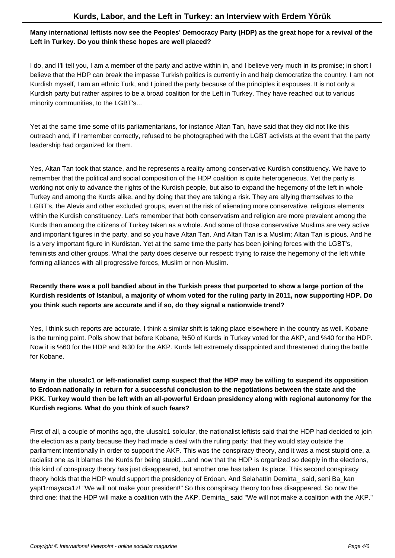#### **Many international leftists now see the Peoples' Democracy Party (HDP) as the great hope for a revival of the Left in Turkey. Do you think these hopes are well placed?**

I do, and I'll tell you, I am a member of the party and active within in, and I believe very much in its promise; in short I believe that the HDP can break the impasse Turkish politics is currently in and help democratize the country. I am not Kurdish myself, I am an ethnic Turk, and I joined the party because of the principles it espouses. It is not only a Kurdish party but rather aspires to be a broad coalition for the Left in Turkey. They have reached out to various minority communities, to the LGBT's...

Yet at the same time some of its parliamentarians, for instance Altan Tan, have said that they did not like this outreach and, if I remember correctly, refused to be photographed with the LGBT activists at the event that the party leadership had organized for them.

Yes, Altan Tan took that stance, and he represents a reality among conservative Kurdish constituency. We have to remember that the political and social composition of the HDP coalition is quite heterogeneous. Yet the party is working not only to advance the rights of the Kurdish people, but also to expand the hegemony of the left in whole Turkey and among the Kurds alike, and by doing that they are taking a risk. They are allying themselves to the LGBT's, the Alevis and other excluded groups, even at the risk of alienating more conservative, religious elements within the Kurdish constituency. Let's remember that both conservatism and religion are more prevalent among the Kurds than among the citizens of Turkey taken as a whole. And some of those conservative Muslims are very active and important figures in the party, and so you have Altan Tan. And Altan Tan is a Muslim; Altan Tan is pious. And he is a very important figure in Kurdistan. Yet at the same time the party has been joining forces with the LGBT's, feminists and other groups. What the party does deserve our respect: trying to raise the hegemony of the left while forming alliances with all progressive forces, Muslim or non-Muslim.

# **Recently there was a poll bandied about in the Turkish press that purported to show a large portion of the Kurdish residents of Istanbul, a majority of whom voted for the ruling party in 2011, now supporting HDP. Do you think such reports are accurate and if so, do they signal a nationwide trend?**

Yes, I think such reports are accurate. I think a similar shift is taking place elsewhere in the country as well. Kobane is the turning point. Polls show that before Kobane, %50 of Kurds in Turkey voted for the AKP, and %40 for the HDP. Now it is %60 for the HDP and %30 for the AKP. Kurds felt extremely disappointed and threatened during the battle for Kobane.

# **Many in the ulusalc1 or left-nationalist camp suspect that the HDP may be willing to suspend its opposition to Erdoan nationally in return for a successful conclusion to the negotiations between the state and the PKK. Turkey would then be left with an all-powerful Erdoan presidency along with regional autonomy for the Kurdish regions. What do you think of such fears?**

First of all, a couple of months ago, the ulusalc1 solcular, the nationalist leftists said that the HDP had decided to join the election as a party because they had made a deal with the ruling party: that they would stay outside the parliament intentionally in order to support the AKP. This was the conspiracy theory, and it was a most stupid one, a racialist one as it blames the Kurds for being stupid....and now that the HDP is organized so deeply in the elections, this kind of conspiracy theory has just disappeared, but another one has taken its place. This second conspiracy theory holds that the HDP would support the presidency of Erdo an. And Selahattin Demirta said, seni Ba kan yapt1rmayaca 1z! "We will not make your president!" So this conspiracy theory too has disappeared. So now the third one: that the HDP will make a coalition with the AKP. Demirta\_ said "We will not make a coalition with the AKP."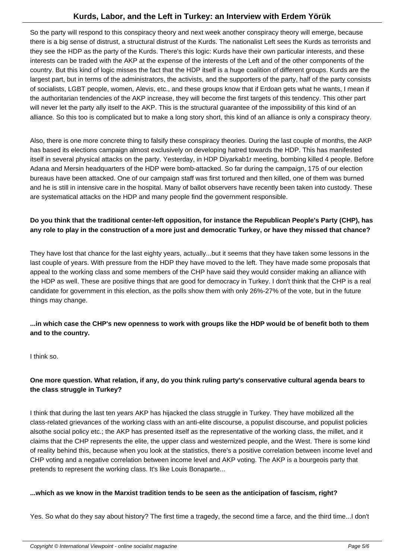So the party will respond to this conspiracy theory and next week another conspiracy theory will emerge, because there is a big sense of distrust, a structural distrust of the Kurds. The nationalist Left sees the Kurds as terrorists and they see the HDP as the party of the Kurds. There's this logic: Kurds have their own particular interests, and these interests can be traded with the AKP at the expense of the interests of the Left and of the other components of the country. But this kind of logic misses the fact that the HDP itself is a huge coalition of different groups. Kurds are the largest part, but in terms of the administrators, the activists, and the supporters of the party, half of the party consists of socialists, LGBT people, women, Alevis, etc., and these groups know that if Erdo an gets what he wants, I mean if the authoritarian tendencies of the AKP increase, they will become the first targets of this tendency. This other part will never let the party ally itself to the AKP. This is the structural guarantee of the impossibility of this kind of an alliance. So this too is complicated but to make a long story short, this kind of an alliance is only a conspiracy theory.

Also, there is one more concrete thing to falsify these conspiracy theories. During the last couple of months, the AKP has based its elections campaign almost exclusively on developing hatred towards the HDP. This has manifested itself in several physical attacks on the party. Yesterday, in HDP Diyarkab1r meeting, bombing killed 4 people. Before Adana and Mersin headquarters of the HDP were bomb-attacked. So far during the campaign, 175 of our election bureaus have been attacked. One of our campaign staff was first tortured and then killed, one of them was burned and he is still in intensive care in the hospital. Many of ballot observers have recently been taken into custody. These are systematical attacks on the HDP and many people find the government responsible.

#### **Do you think that the traditional center-left opposition, for instance the Republican People's Party (CHP), has any role to play in the construction of a more just and democratic Turkey, or have they missed that chance?**

They have lost that chance for the last eighty years, actually...but it seems that they have taken some lessons in the last couple of years. With pressure from the HDP they have moved to the left. They have made some proposals that appeal to the working class and some members of the CHP have said they would consider making an alliance with the HDP as well. These are positive things that are good for democracy in Turkey. I don't think that the CHP is a real candidate for government in this election, as the polls show them with only 26%-27% of the vote, but in the future things may change.

#### **...in which case the CHP's new openness to work with groups like the HDP would be of benefit both to them and to the country.**

I think so.

# **One more question. What relation, if any, do you think ruling party's conservative cultural agenda bears to the class struggle in Turkey?**

I think that during the last ten years AKP has hijacked the class struggle in Turkey. They have mobilized all the class-related grievances of the working class with an anti-elite discourse, a populist discourse, and populist policies alsothe social policy etc.; the AKP has presented itself as the representative of the working class, the millet, and it claims that the CHP represents the elite, the upper class and westernized people, and the West. There is some kind of reality behind this, because when you look at the statistics, there's a positive correlation between income level and CHP voting and a negative correlation between income level and AKP voting. The AKP is a bourgeois party that pretends to represent the working class. It's like Louis Bonaparte...

#### **...which as we know in the Marxist tradition tends to be seen as the anticipation of fascism, right?**

Yes. So what do they say about history? The first time a tragedy, the second time a farce, and the third time...I don't